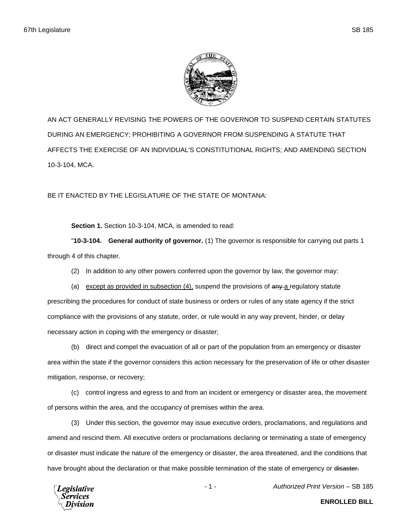

AN ACT GENERALLY REVISING THE POWERS OF THE GOVERNOR TO SUSPEND CERTAIN STATUTES DURING AN EMERGENCY; PROHIBITING A GOVERNOR FROM SUSPENDING A STATUTE THAT AFFECTS THE EXERCISE OF AN INDIVIDUAL'S CONSTITUTIONAL RIGHTS; AND AMENDING SECTION 10-3-104, MCA.

BE IT ENACTED BY THE LEGISLATURE OF THE STATE OF MONTANA:

**Section 1.** Section 10-3-104, MCA, is amended to read:

"**10-3-104. General authority of governor.** (1) The governor is responsible for carrying out parts 1 through 4 of this chapter.

(2) In addition to any other powers conferred upon the governor by law, the governor may:

(a) except as provided in subsection  $(4)$ , suspend the provisions of  $\frac{any-a}{2}$  regulatory statute prescribing the procedures for conduct of state business or orders or rules of any state agency if the strict compliance with the provisions of any statute, order, or rule would in any way prevent, hinder, or delay necessary action in coping with the emergency or disaster;

(b) direct and compel the evacuation of all or part of the population from an emergency or disaster area within the state if the governor considers this action necessary for the preservation of life or other disaster mitigation, response, or recovery;

(c) control ingress and egress to and from an incident or emergency or disaster area, the movement of persons within the area, and the occupancy of premises within the area.

(3) Under this section, the governor may issue executive orders, proclamations, and regulations and amend and rescind them. All executive orders or proclamations declaring or terminating a state of emergency or disaster must indicate the nature of the emergency or disaster, the area threatened, and the conditions that have brought about the declaration or that make possible termination of the state of emergency or disaster.



- 1 - *Authorized Print Version* – SB 185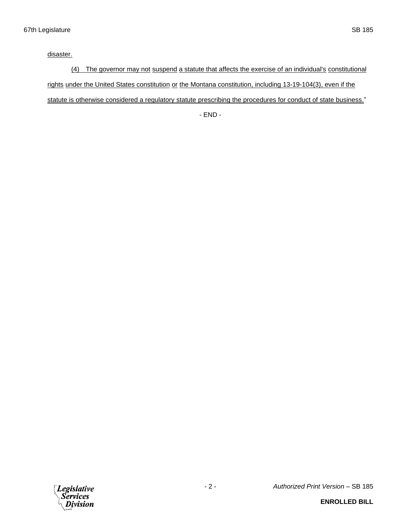disaster.

(4) The governor may not suspend a statute that affects the exercise of an individual's constitutional rights under the United States constitution or the Montana constitution, including 13-19-104(3), even if the statute is otherwise considered a regulatory statute prescribing the procedures for conduct of state business."

- END -

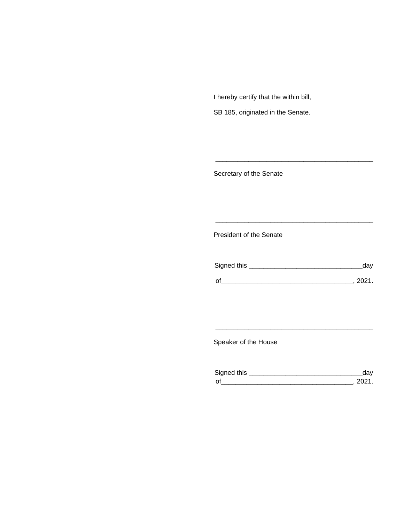I hereby certify that the within bill,

SB 185, originated in the Senate.

Secretary of the Senate

President of the Senate

| Signed this | uav    |
|-------------|--------|
|             | 111'11 |
| $\Omega$    |        |

\_\_\_\_\_\_\_\_\_\_\_\_\_\_\_\_\_\_\_\_\_\_\_\_\_\_\_\_\_\_\_\_\_\_\_\_\_\_\_\_\_\_\_

\_\_\_\_\_\_\_\_\_\_\_\_\_\_\_\_\_\_\_\_\_\_\_\_\_\_\_\_\_\_\_\_\_\_\_\_\_\_\_\_\_\_\_

Speaker of the House

| Sianed this |  |
|-------------|--|
| $\Omega$    |  |

\_\_\_\_\_\_\_\_\_\_\_\_\_\_\_\_\_\_\_\_\_\_\_\_\_\_\_\_\_\_\_\_\_\_\_\_\_\_\_\_\_\_\_